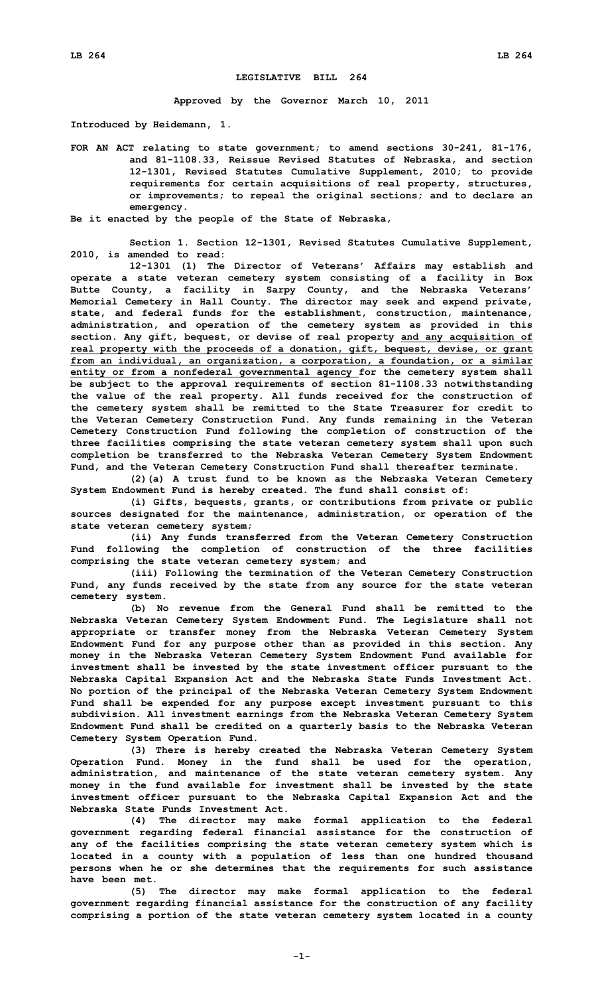## **LEGISLATIVE BILL 264**

**Approved by the Governor March 10, 2011**

**Introduced by Heidemann, 1.**

**FOR AN ACT relating to state government; to amend sections 30-241, 81-176, and 81-1108.33, Reissue Revised Statutes of Nebraska, and section 12-1301, Revised Statutes Cumulative Supplement, 2010; to provide requirements for certain acquisitions of real property, structures, or improvements; to repeal the original sections; and to declare an emergency.**

**Be it enacted by the people of the State of Nebraska,**

**Section 1. Section 12-1301, Revised Statutes Cumulative Supplement, 2010, is amended to read:**

**12-1301 (1) The Director of Veterans' Affairs may establish and operate <sup>a</sup> state veteran cemetery system consisting of <sup>a</sup> facility in Box Butte County, <sup>a</sup> facility in Sarpy County, and the Nebraska Veterans' Memorial Cemetery in Hall County. The director may seek and expend private, state, and federal funds for the establishment, construction, maintenance, administration, and operation of the cemetery system as provided in this section. Any gift, bequest, or devise of real property and any acquisition of real property with the proceeds of <sup>a</sup> donation, gift, bequest, devise, or grant from an individual, an organization, <sup>a</sup> corporation, <sup>a</sup> foundation, or <sup>a</sup> similar entity or from <sup>a</sup> nonfederal governmental agency for the cemetery system shall be subject to the approval requirements of section 81-1108.33 notwithstanding the value of the real property. All funds received for the construction of the cemetery system shall be remitted to the State Treasurer for credit to the Veteran Cemetery Construction Fund. Any funds remaining in the Veteran Cemetery Construction Fund following the completion of construction of the three facilities comprising the state veteran cemetery system shall upon such completion be transferred to the Nebraska Veteran Cemetery System Endowment Fund, and the Veteran Cemetery Construction Fund shall thereafter terminate.**

**(2)(a) <sup>A</sup> trust fund to be known as the Nebraska Veteran Cemetery System Endowment Fund is hereby created. The fund shall consist of:**

**(i) Gifts, bequests, grants, or contributions from private or public sources designated for the maintenance, administration, or operation of the state veteran cemetery system;**

**(ii) Any funds transferred from the Veteran Cemetery Construction Fund following the completion of construction of the three facilities comprising the state veteran cemetery system; and**

**(iii) Following the termination of the Veteran Cemetery Construction Fund, any funds received by the state from any source for the state veteran cemetery system.**

**(b) No revenue from the General Fund shall be remitted to the Nebraska Veteran Cemetery System Endowment Fund. The Legislature shall not appropriate or transfer money from the Nebraska Veteran Cemetery System Endowment Fund for any purpose other than as provided in this section. Any money in the Nebraska Veteran Cemetery System Endowment Fund available for investment shall be invested by the state investment officer pursuant to the Nebraska Capital Expansion Act and the Nebraska State Funds Investment Act. No portion of the principal of the Nebraska Veteran Cemetery System Endowment Fund shall be expended for any purpose except investment pursuant to this subdivision. All investment earnings from the Nebraska Veteran Cemetery System Endowment Fund shall be credited on <sup>a</sup> quarterly basis to the Nebraska Veteran Cemetery System Operation Fund.**

**(3) There is hereby created the Nebraska Veteran Cemetery System Operation Fund. Money in the fund shall be used for the operation, administration, and maintenance of the state veteran cemetery system. Any money in the fund available for investment shall be invested by the state investment officer pursuant to the Nebraska Capital Expansion Act and the Nebraska State Funds Investment Act.**

**(4) The director may make formal application to the federal government regarding federal financial assistance for the construction of any of the facilities comprising the state veteran cemetery system which is located in <sup>a</sup> county with <sup>a</sup> population of less than one hundred thousand persons when he or she determines that the requirements for such assistance have been met.**

**(5) The director may make formal application to the federal government regarding financial assistance for the construction of any facility comprising <sup>a</sup> portion of the state veteran cemetery system located in <sup>a</sup> county**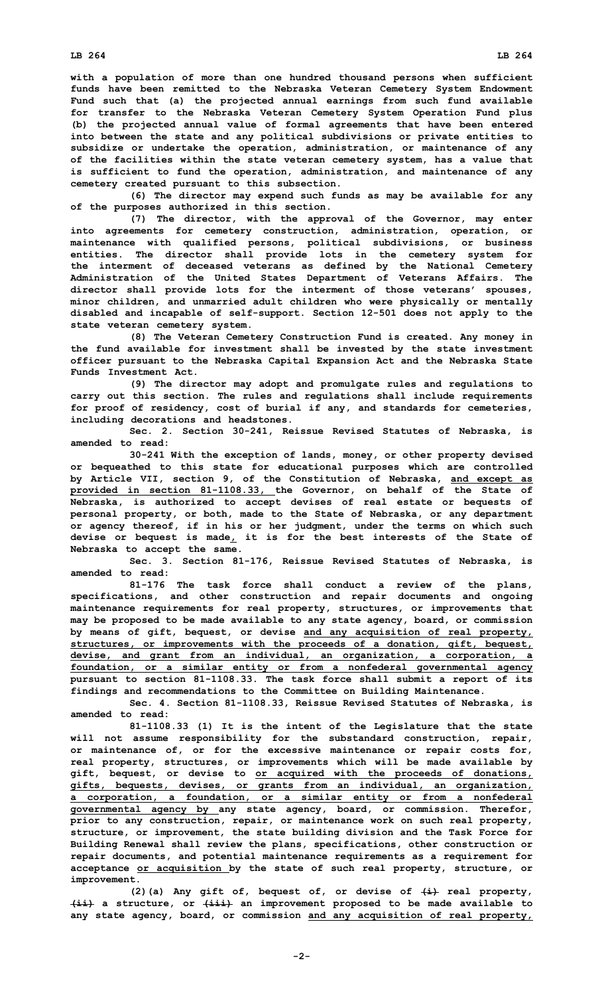**with <sup>a</sup> population of more than one hundred thousand persons when sufficient funds have been remitted to the Nebraska Veteran Cemetery System Endowment Fund such that (a) the projected annual earnings from such fund available for transfer to the Nebraska Veteran Cemetery System Operation Fund plus (b) the projected annual value of formal agreements that have been entered into between the state and any political subdivisions or private entities to subsidize or undertake the operation, administration, or maintenance of any of the facilities within the state veteran cemetery system, has <sup>a</sup> value that is sufficient to fund the operation, administration, and maintenance of any**

**cemetery created pursuant to this subsection. (6) The director may expend such funds as may be available for any of the purposes authorized in this section.**

**(7) The director, with the approval of the Governor, may enter into agreements for cemetery construction, administration, operation, or maintenance with qualified persons, political subdivisions, or business entities. The director shall provide lots in the cemetery system for the interment of deceased veterans as defined by the National Cemetery Administration of the United States Department of Veterans Affairs. The director shall provide lots for the interment of those veterans' spouses, minor children, and unmarried adult children who were physically or mentally disabled and incapable of self-support. Section 12-501 does not apply to the state veteran cemetery system.**

**(8) The Veteran Cemetery Construction Fund is created. Any money in the fund available for investment shall be invested by the state investment officer pursuant to the Nebraska Capital Expansion Act and the Nebraska State Funds Investment Act.**

**(9) The director may adopt and promulgate rules and regulations to carry out this section. The rules and regulations shall include requirements for proof of residency, cost of burial if any, and standards for cemeteries, including decorations and headstones.**

**Sec. 2. Section 30-241, Reissue Revised Statutes of Nebraska, is amended to read:**

**30-241 With the exception of lands, money, or other property devised or bequeathed to this state for educational purposes which are controlled by Article VII, section 9, of the Constitution of Nebraska, and except as provided in section 81-1108.33, the Governor, on behalf of the State of Nebraska, is authorized to accept devises of real estate or bequests of personal property, or both, made to the State of Nebraska, or any department or agency thereof, if in his or her judgment, under the terms on which such devise or bequest is made, it is for the best interests of the State of Nebraska to accept the same.**

**Sec. 3. Section 81-176, Reissue Revised Statutes of Nebraska, is amended to read:**

**81-176 The task force shall conduct <sup>a</sup> review of the plans, specifications, and other construction and repair documents and ongoing maintenance requirements for real property, structures, or improvements that may be proposed to be made available to any state agency, board, or commission by means of gift, bequest, or devise and any acquisition of real property, structures, or improvements with the proceeds of <sup>a</sup> donation, gift, bequest, devise, and grant from an individual, an organization, <sup>a</sup> corporation, <sup>a</sup> foundation, or <sup>a</sup> similar entity or from <sup>a</sup> nonfederal governmental agency pursuant to section 81-1108.33. The task force shall submit <sup>a</sup> report of its findings and recommendations to the Committee on Building Maintenance.**

**Sec. 4. Section 81-1108.33, Reissue Revised Statutes of Nebraska, is amended to read:**

**81-1108.33 (1) It is the intent of the Legislature that the state will not assume responsibility for the substandard construction, repair, or maintenance of, or for the excessive maintenance or repair costs for, real property, structures, or improvements which will be made available by gift, bequest, or devise to or acquired with the proceeds of donations, gifts, bequests, devises, or grants from an individual, an organization, <sup>a</sup> corporation, <sup>a</sup> foundation, or <sup>a</sup> similar entity or from <sup>a</sup> nonfederal governmental agency by any state agency, board, or commission. Therefor, prior to any construction, repair, or maintenance work on such real property, structure, or improvement, the state building division and the Task Force for Building Renewal shall review the plans, specifications, other construction or repair documents, and potential maintenance requirements as <sup>a</sup> requirement for acceptance or acquisition by the state of such real property, structure, or improvement.**

**(2)(a) Any gift of, bequest of, or devise of (i) real property, (ii) <sup>a</sup> structure, or (iii) an improvement proposed to be made available to any state agency, board, or commission and any acquisition of real property,**